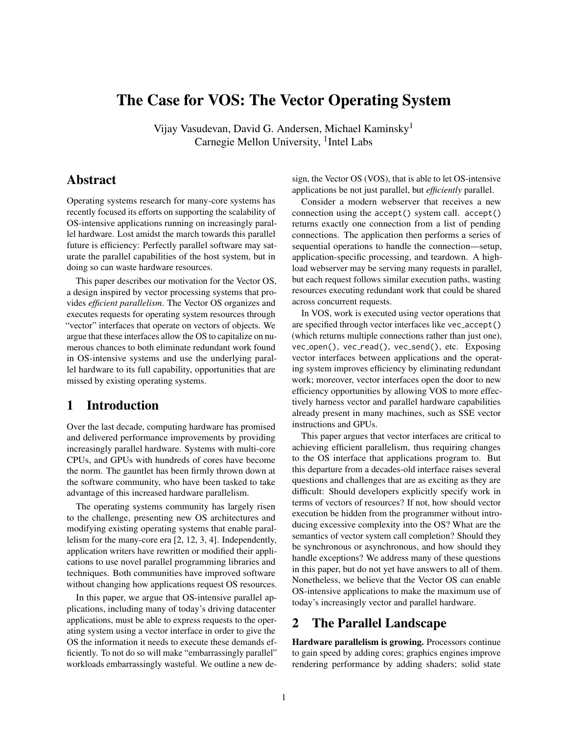# The Case for VOS: The Vector Operating System

Vijay Vasudevan, David G. Andersen, Michael Kaminsky<sup>1</sup> Carnegie Mellon University, <sup>1</sup>Intel Labs

## Abstract

Operating systems research for many-core systems has recently focused its efforts on supporting the scalability of OS-intensive applications running on increasingly parallel hardware. Lost amidst the march towards this parallel future is efficiency: Perfectly parallel software may saturate the parallel capabilities of the host system, but in doing so can waste hardware resources.

This paper describes our motivation for the Vector OS, a design inspired by vector processing systems that provides *efficient parallelism*. The Vector OS organizes and executes requests for operating system resources through "vector" interfaces that operate on vectors of objects. We argue that these interfaces allow the OS to capitalize on numerous chances to both eliminate redundant work found in OS-intensive systems and use the underlying parallel hardware to its full capability, opportunities that are missed by existing operating systems.

## 1 Introduction

Over the last decade, computing hardware has promised and delivered performance improvements by providing increasingly parallel hardware. Systems with multi-core CPUs, and GPUs with hundreds of cores have become the norm. The gauntlet has been firmly thrown down at the software community, who have been tasked to take advantage of this increased hardware parallelism.

The operating systems community has largely risen to the challenge, presenting new OS architectures and modifying existing operating systems that enable parallelism for the many-core era [\[2,](#page-4-0) [12,](#page-4-1) [3,](#page-4-2) [4\]](#page-4-3). Independently, application writers have rewritten or modified their applications to use novel parallel programming libraries and techniques. Both communities have improved software without changing how applications request OS resources.

In this paper, we argue that OS-intensive parallel applications, including many of today's driving datacenter applications, must be able to express requests to the operating system using a vector interface in order to give the OS the information it needs to execute these demands efficiently. To not do so will make "embarrassingly parallel" workloads embarrassingly wasteful. We outline a new design, the Vector OS (VOS), that is able to let OS-intensive applications be not just parallel, but *efficiently* parallel.

Consider a modern webserver that receives a new connection using the accept() system call. accept() returns exactly one connection from a list of pending connections. The application then performs a series of sequential operations to handle the connection—setup, application-specific processing, and teardown. A highload webserver may be serving many requests in parallel, but each request follows similar execution paths, wasting resources executing redundant work that could be shared across concurrent requests.

In VOS, work is executed using vector operations that are specified through vector interfaces like vec accept() (which returns multiple connections rather than just one), vec\_open(), vec\_read(), vec\_send(), etc. Exposing vector interfaces between applications and the operating system improves efficiency by eliminating redundant work; moreover, vector interfaces open the door to new efficiency opportunities by allowing VOS to more effectively harness vector and parallel hardware capabilities already present in many machines, such as SSE vector instructions and GPUs.

This paper argues that vector interfaces are critical to achieving efficient parallelism, thus requiring changes to the OS interface that applications program to. But this departure from a decades-old interface raises several questions and challenges that are as exciting as they are difficult: Should developers explicitly specify work in terms of vectors of resources? If not, how should vector execution be hidden from the programmer without introducing excessive complexity into the OS? What are the semantics of vector system call completion? Should they be synchronous or asynchronous, and how should they handle exceptions? We address many of these questions in this paper, but do not yet have answers to all of them. Nonetheless, we believe that the Vector OS can enable OS-intensive applications to make the maximum use of today's increasingly vector and parallel hardware.

## 2 The Parallel Landscape

Hardware parallelism is growing. Processors continue to gain speed by adding cores; graphics engines improve rendering performance by adding shaders; solid state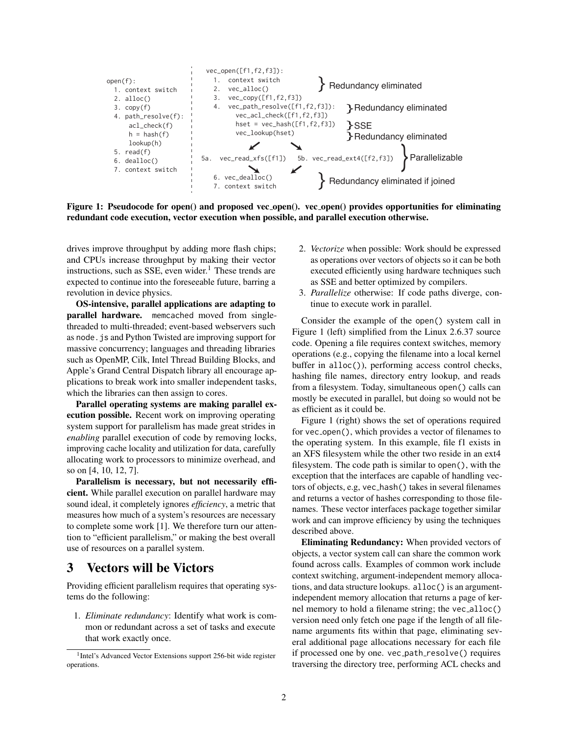<span id="page-1-1"></span>

Figure 1: Pseudocode for open() and proposed vec open(). vec open() provides opportunities for eliminating redundant code execution, vector execution when possible, and parallel execution otherwise.

drives improve throughput by adding more flash chips; and CPUs increase throughput by making their vector instructions, such as SSE, even wider. $<sup>1</sup>$  $<sup>1</sup>$  $<sup>1</sup>$  These trends are</sup> expected to continue into the foreseeable future, barring a revolution in device physics.

OS-intensive, parallel applications are adapting to parallel hardware. memcached moved from singlethreaded to multi-threaded; event-based webservers such as node.js and Python Twisted are improving support for massive concurrency; languages and threading libraries such as OpenMP, Cilk, Intel Thread Building Blocks, and Apple's Grand Central Dispatch library all encourage applications to break work into smaller independent tasks, which the libraries can then assign to cores.

Parallel operating systems are making parallel execution possible. Recent work on improving operating system support for parallelism has made great strides in *enabling* parallel execution of code by removing locks, improving cache locality and utilization for data, carefully allocating work to processors to minimize overhead, and so on [\[4,](#page-4-3) [10,](#page-4-4) [12,](#page-4-1) [7\]](#page-4-5).

Parallelism is necessary, but not necessarily efficient. While parallel execution on parallel hardware may sound ideal, it completely ignores *efficiency*, a metric that measures how much of a system's resources are necessary to complete some work [\[1\]](#page-4-6). We therefore turn our attention to "efficient parallelism," or making the best overall use of resources on a parallel system.

## 3 Vectors will be Victors

Providing efficient parallelism requires that operating systems do the following:

1. *Eliminate redundancy*: Identify what work is common or redundant across a set of tasks and execute that work exactly once.

- 2. *Vectorize* when possible: Work should be expressed as operations over vectors of objects so it can be both executed efficiently using hardware techniques such as SSE and better optimized by compilers.
- 3. *Parallelize* otherwise: If code paths diverge, continue to execute work in parallel.

Consider the example of the open() system call in Figure [1](#page-1-1) (left) simplified from the Linux 2.6.37 source code. Opening a file requires context switches, memory operations (e.g., copying the filename into a local kernel buffer in alloc()), performing access control checks, hashing file names, directory entry lookup, and reads from a filesystem. Today, simultaneous open() calls can mostly be executed in parallel, but doing so would not be as efficient as it could be.

Figure [1](#page-1-1) (right) shows the set of operations required for vec<sub>-open</sub>(), which provides a vector of filenames to the operating system. In this example, file f1 exists in an XFS filesystem while the other two reside in an ext4 filesystem. The code path is similar to open(), with the exception that the interfaces are capable of handling vectors of objects, e.g, vec hash() takes in several filenames and returns a vector of hashes corresponding to those filenames. These vector interfaces package together similar work and can improve efficiency by using the techniques described above.

Eliminating Redundancy: When provided vectors of objects, a vector system call can share the common work found across calls. Examples of common work include context switching, argument-independent memory allocations, and data structure lookups. alloc() is an argumentindependent memory allocation that returns a page of kernel memory to hold a filename string; the vec\_alloc() version need only fetch one page if the length of all filename arguments fits within that page, eliminating several additional page allocations necessary for each file if processed one by one. vec\_path\_resolve() requires traversing the directory tree, performing ACL checks and

<span id="page-1-0"></span><sup>&</sup>lt;sup>1</sup>Intel's Advanced Vector Extensions support 256-bit wide register operations.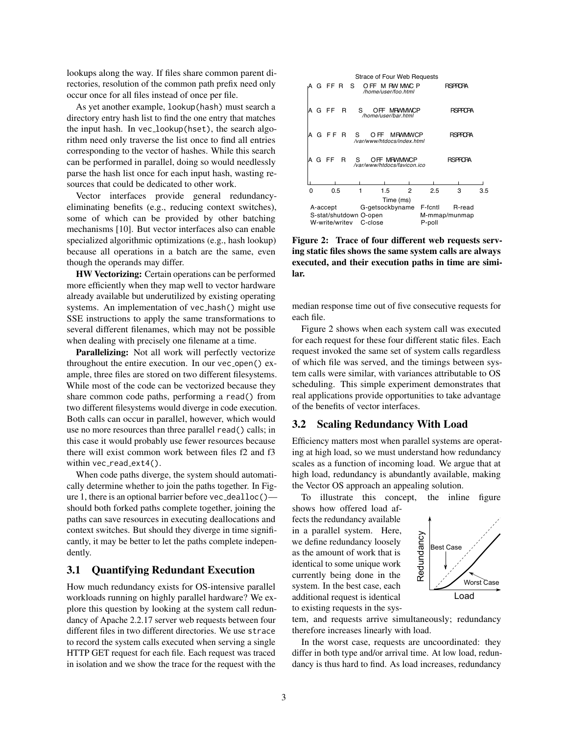lookups along the way. If files share common parent directories, resolution of the common path prefix need only occur once for all files instead of once per file.

As yet another example, lookup(hash) must search a directory entry hash list to find the one entry that matches the input hash. In vec lookup(hset), the search algorithm need only traverse the list once to find all entries corresponding to the vector of hashes. While this search can be performed in parallel, doing so would needlessly parse the hash list once for each input hash, wasting resources that could be dedicated to other work.

Vector interfaces provide general redundancyeliminating benefits (e.g., reducing context switches), some of which can be provided by other batching mechanisms [\[10\]](#page-4-4). But vector interfaces also can enable specialized algorithmic optimizations (e.g., hash lookup) because all operations in a batch are the same, even though the operands may differ.

HW Vectorizing: Certain operations can be performed more efficiently when they map well to vector hardware already available but underutilized by existing operating systems. An implementation of vec\_hash() might use SSE instructions to apply the same transformations to several different filenames, which may not be possible when dealing with precisely one filename at a time.

Parallelizing: Not all work will perfectly vectorize throughout the entire execution. In our vec<sub>-open</sub> () example, three files are stored on two different filesystems. While most of the code can be vectorized because they share common code paths, performing a read() from two different filesystems would diverge in code execution. Both calls can occur in parallel, however, which would use no more resources than three parallel read() calls; in this case it would probably use fewer resources because there will exist common work between files f2 and f3 within  $vec\_read\_ext4()$ .

When code paths diverge, the system should automatically determine whether to join the paths together. In Fig-ure [1,](#page-1-1) there is an optional barrier before vec\_dealloc() should both forked paths complete together, joining the paths can save resources in executing deallocations and context switches. But should they diverge in time significantly, it may be better to let the paths complete independently.

#### 3.1 Quantifying Redundant Execution

How much redundancy exists for OS-intensive parallel workloads running on highly parallel hardware? We explore this question by looking at the system call redundancy of Apache 2.2.17 server web requests between four different files in two different directories. We use strace to record the system calls executed when serving a single HTTP GET request for each file. Each request was traced in isolation and we show the trace for the request with the

<span id="page-2-0"></span>

Figure 2: Trace of four different web requests serving static files shows the same system calls are always executed, and their execution paths in time are similar.

median response time out of five consecutive requests for each file.

Figure [2](#page-2-0) shows when each system call was executed for each request for these four different static files. Each request invoked the same set of system calls regardless of which file was served, and the timings between system calls were similar, with variances attributable to OS scheduling. This simple experiment demonstrates that real applications provide opportunities to take advantage of the benefits of vector interfaces.

#### 3.2 Scaling Redundancy With Load

Efficiency matters most when parallel systems are operating at high load, so we must understand how redundancy scales as a function of incoming load. We argue that at high load, redundancy is abundantly available, making the Vector OS approach an appealing solution.

To illustrate this concept, the inline figure

shows how offered load affects the redundancy available in a parallel system. Here, we define redundancy loosely as the amount of work that is identical to some unique work currently being done in the system. In the best case, each additional request is identical to existing requests in the sys-



tem, and requests arrive simultaneously; redundancy therefore increases linearly with load.

In the worst case, requests are uncoordinated: they differ in both type and/or arrival time. At low load, redundancy is thus hard to find. As load increases, redundancy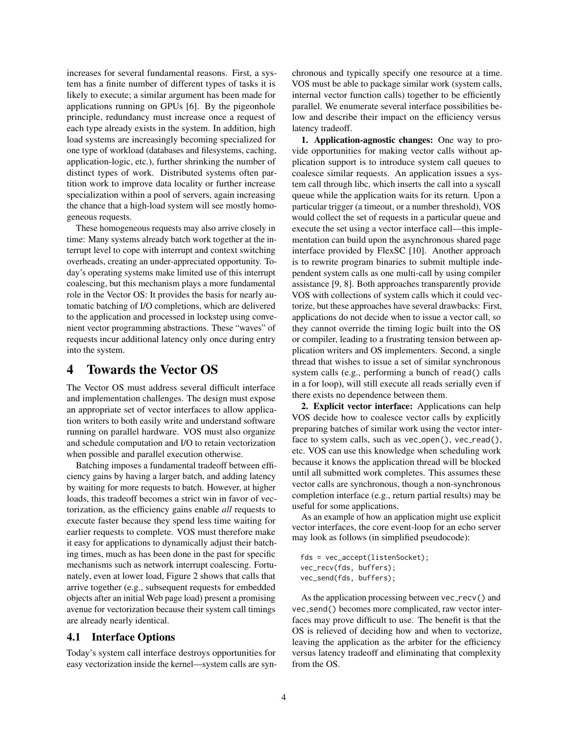increases for several fundamental reasons. First, a system has a finite number of different types of tasks it is likely to execute; a similar argument has been made for applications running on GPUs [\[6\]](#page-4-7). By the pigeonhole principle, redundancy must increase once a request of each type already exists in the system. In addition, high load systems are increasingly becoming specialized for one type of workload (databases and filesystems, caching, application-logic, etc.), further shrinking the number of distinct types of work. Distributed systems often partition work to improve data locality or further increase specialization within a pool of servers, again increasing the chance that a high-load system will see mostly homogeneous requests.

These homogeneous requests may also arrive closely in time: Many systems already batch work together at the interrupt level to cope with interrupt and context switching overheads, creating an under-appreciated opportunity. Today's operating systems make limited use of this interrupt coalescing, but this mechanism plays a more fundamental role in the Vector OS: It provides the basis for nearly automatic batching of I/O completions, which are delivered to the application and processed in lockstep using convenient vector programming abstractions. These "waves" of requests incur additional latency only once during entry into the system.

### 4 Towards the Vector OS

The Vector OS must address several difficult interface and implementation challenges. The design must expose an appropriate set of vector interfaces to allow application writers to both easily write and understand software running on parallel hardware. VOS must also organize and schedule computation and I/O to retain vectorization when possible and parallel execution otherwise.

Batching imposes a fundamental tradeoff between efficiency gains by having a larger batch, and adding latency by waiting for more requests to batch. However, at higher loads, this tradeoff becomes a strict win in favor of vectorization, as the efficiency gains enable *all* requests to execute faster because they spend less time waiting for earlier requests to complete. VOS must therefore make it easy for applications to dynamically adjust their batching times, much as has been done in the past for specific mechanisms such as network interrupt coalescing. Fortunately, even at lower load, Figure [2](#page-2-0) shows that calls that arrive together (e.g., subsequent requests for embedded objects after an initial Web page load) present a promising avenue for vectorization because their system call timings are already nearly identical.

#### 4.1 Interface Options

Today's system call interface destroys opportunities for easy vectorization inside the kernel—system calls are synchronous and typically specify one resource at a time. VOS must be able to package similar work (system calls, internal vector function calls) together to be efficiently parallel. We enumerate several interface possibilities below and describe their impact on the efficiency versus latency tradeoff.

1. Application-agnostic changes: One way to provide opportunities for making vector calls without application support is to introduce system call queues to coalesce similar requests. An application issues a system call through libc, which inserts the call into a syscall queue while the application waits for its return. Upon a particular trigger (a timeout, or a number threshold), VOS would collect the set of requests in a particular queue and execute the set using a vector interface call—this implementation can build upon the asynchronous shared page interface provided by FlexSC [\[10\]](#page-4-4). Another approach is to rewrite program binaries to submit multiple independent system calls as one multi-call by using compiler assistance [\[9,](#page-4-8) [8\]](#page-4-9). Both approaches transparently provide VOS with collections of system calls which it could vectorize, but these approaches have several drawbacks: First, applications do not decide when to issue a vector call, so they cannot override the timing logic built into the OS or compiler, leading to a frustrating tension between application writers and OS implementers. Second, a single thread that wishes to issue a set of similar synchronous system calls (e.g., performing a bunch of read() calls in a for loop), will still execute all reads serially even if there exists no dependence between them.

2. Explicit vector interface: Applications can help VOS decide how to coalesce vector calls by explicitly preparing batches of similar work using the vector interface to system calls, such as  $vec\_open()$ ,  $vec\_read()$ , etc. VOS can use this knowledge when scheduling work because it knows the application thread will be blocked until all submitted work completes. This assumes these vector calls are synchronous, though a non-synchronous completion interface (e.g., return partial results) may be useful for some applications.

As an example of how an application might use explicit vector interfaces, the core event-loop for an echo server may look as follows (in simplified pseudocode):

fds = vec\_accept(listenSocket); vec\_recv(fds, buffers); vec\_send(fds, buffers);

As the application processing between vec\_recv() and vec\_send() becomes more complicated, raw vector interfaces may prove difficult to use. The benefit is that the OS is relieved of deciding how and when to vectorize, leaving the application as the arbiter for the efficiency versus latency tradeoff and eliminating that complexity from the OS.